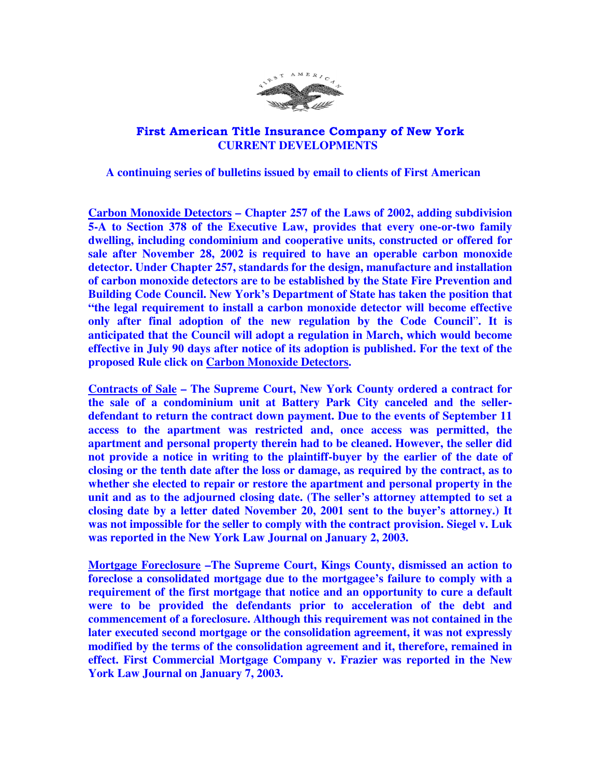

## First American Title Insurance Company of New York  **CURRENT DEVELOPMENTS**

## **A continuing series of bulletins issued by email to clients of First American**

**Carbon Monoxide Detectors – Chapter 257 of the Laws of 2002, adding subdivision 5-A to Section 378 of the Executive Law, provides that every one-or-two family dwelling, including condominium and cooperative units, constructed or offered for sale after November 28, 2002 is required to have an operable carbon monoxide detector. Under Chapter 257, standards for the design, manufacture and installation of carbon monoxide detectors are to be established by the State Fire Prevention and Building Code Council. New York's Department of State has taken the position that "the legal requirement to install a carbon monoxide detector will become effective only after final adoption of the new regulation by the Code Council**"**. It is anticipated that the Council will adopt a regulation in March, which would become effective in July 90 days after notice of its adoption is published. For the text of the proposed Rule click on Carbon Monoxide Detectors.** 

**Contracts of Sale – The Supreme Court, New York County ordered a contract for the sale of a condominium unit at Battery Park City canceled and the sellerdefendant to return the contract down payment. Due to the events of September 11 access to the apartment was restricted and, once access was permitted, the apartment and personal property therein had to be cleaned. However, the seller did not provide a notice in writing to the plaintiff-buyer by the earlier of the date of closing or the tenth date after the loss or damage, as required by the contract, as to whether she elected to repair or restore the apartment and personal property in the unit and as to the adjourned closing date. (The seller's attorney attempted to set a closing date by a letter dated November 20, 2001 sent to the buyer's attorney.) It was not impossible for the seller to comply with the contract provision. Siegel v. Luk was reported in the New York Law Journal on January 2, 2003.** 

**Mortgage Foreclosure –The Supreme Court, Kings County, dismissed an action to foreclose a consolidated mortgage due to the mortgagee's failure to comply with a requirement of the first mortgage that notice and an opportunity to cure a default were to be provided the defendants prior to acceleration of the debt and commencement of a foreclosure. Although this requirement was not contained in the later executed second mortgage or the consolidation agreement, it was not expressly modified by the terms of the consolidation agreement and it, therefore, remained in effect. First Commercial Mortgage Company v. Frazier was reported in the New York Law Journal on January 7, 2003.**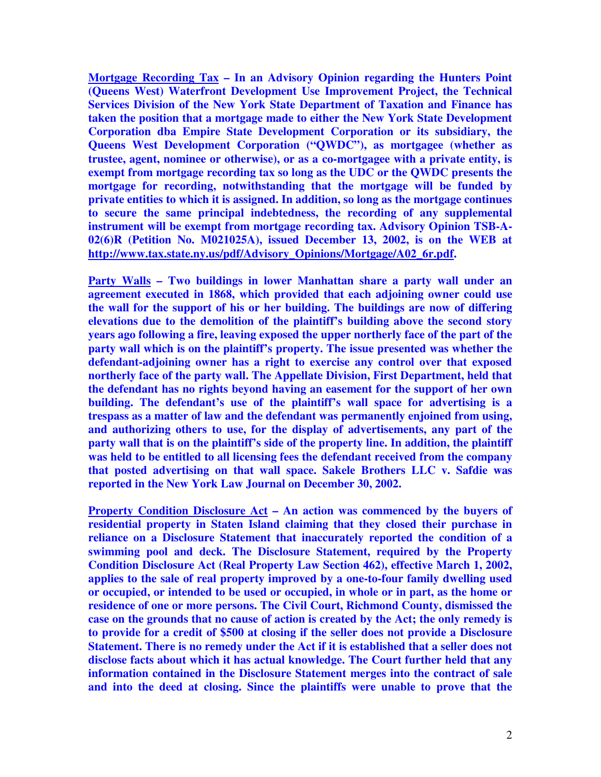**Mortgage Recording Tax – In an Advisory Opinion regarding the Hunters Point (Queens West) Waterfront Development Use Improvement Project, the Technical Services Division of the New York State Department of Taxation and Finance has taken the position that a mortgage made to either the New York State Development Corporation dba Empire State Development Corporation or its subsidiary, the Queens West Development Corporation ("QWDC"), as mortgagee (whether as trustee, agent, nominee or otherwise), or as a co-mortgagee with a private entity, is exempt from mortgage recording tax so long as the UDC or the QWDC presents the mortgage for recording, notwithstanding that the mortgage will be funded by private entities to which it is assigned. In addition, so long as the mortgage continues to secure the same principal indebtedness, the recording of any supplemental instrument will be exempt from mortgage recording tax. Advisory Opinion TSB-A-02(6)R (Petition No. M021025A), issued December 13, 2002, is on the WEB at http://www.tax.state.ny.us/pdf/Advisory\_Opinions/Mortgage/A02\_6r.pdf.** 

**Party Walls – Two buildings in lower Manhattan share a party wall under an agreement executed in 1868, which provided that each adjoining owner could use the wall for the support of his or her building. The buildings are now of differing elevations due to the demolition of the plaintiff's building above the second story years ago following a fire, leaving exposed the upper northerly face of the part of the party wall which is on the plaintiff's property. The issue presented was whether the defendant-adjoining owner has a right to exercise any control over that exposed northerly face of the party wall. The Appellate Division, First Department, held that the defendant has no rights beyond having an easement for the support of her own building. The defendant's use of the plaintiff's wall space for advertising is a trespass as a matter of law and the defendant was permanently enjoined from using, and authorizing others to use, for the display of advertisements, any part of the party wall that is on the plaintiff's side of the property line. In addition, the plaintiff was held to be entitled to all licensing fees the defendant received from the company that posted advertising on that wall space. Sakele Brothers LLC v. Safdie was reported in the New York Law Journal on December 30, 2002.** 

**Property Condition Disclosure Act – An action was commenced by the buyers of residential property in Staten Island claiming that they closed their purchase in reliance on a Disclosure Statement that inaccurately reported the condition of a swimming pool and deck. The Disclosure Statement, required by the Property Condition Disclosure Act (Real Property Law Section 462), effective March 1, 2002, applies to the sale of real property improved by a one-to-four family dwelling used or occupied, or intended to be used or occupied, in whole or in part, as the home or residence of one or more persons. The Civil Court, Richmond County, dismissed the case on the grounds that no cause of action is created by the Act; the only remedy is to provide for a credit of \$500 at closing if the seller does not provide a Disclosure Statement. There is no remedy under the Act if it is established that a seller does not disclose facts about which it has actual knowledge. The Court further held that any information contained in the Disclosure Statement merges into the contract of sale and into the deed at closing. Since the plaintiffs were unable to prove that the**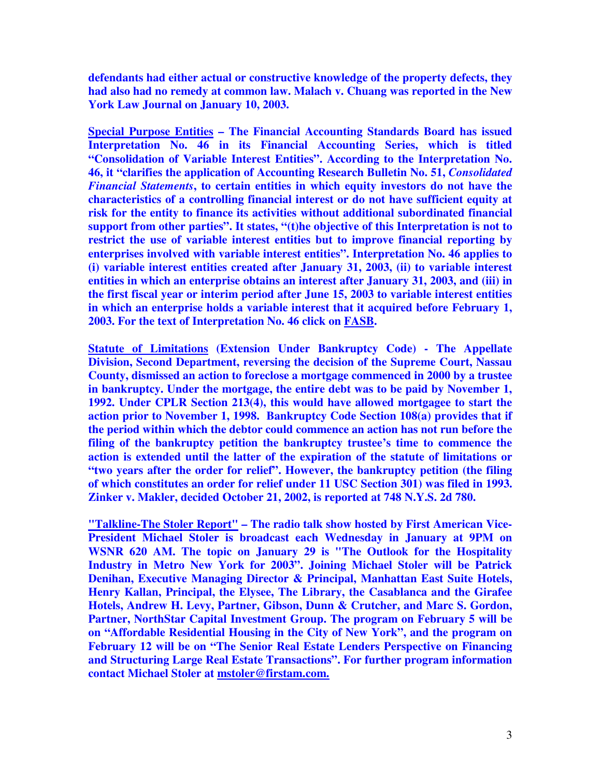**defendants had either actual or constructive knowledge of the property defects, they had also had no remedy at common law. Malach v. Chuang was reported in the New York Law Journal on January 10, 2003.** 

**Special Purpose Entities – The Financial Accounting Standards Board has issued Interpretation No. 46 in its Financial Accounting Series, which is titled "Consolidation of Variable Interest Entities". According to the Interpretation No. 46, it "clarifies the application of Accounting Research Bulletin No. 51,** *Consolidated Financial Statements***, to certain entities in which equity investors do not have the characteristics of a controlling financial interest or do not have sufficient equity at risk for the entity to finance its activities without additional subordinated financial support from other parties". It states, "(t)he objective of this Interpretation is not to restrict the use of variable interest entities but to improve financial reporting by enterprises involved with variable interest entities". Interpretation No. 46 applies to (i) variable interest entities created after January 31, 2003, (ii) to variable interest entities in which an enterprise obtains an interest after January 31, 2003, and (iii) in the first fiscal year or interim period after June 15, 2003 to variable interest entities in which an enterprise holds a variable interest that it acquired before February 1, 2003. For the text of Interpretation No. 46 click on FASB.** 

**Statute of Limitations (Extension Under Bankruptcy Code) - The Appellate Division, Second Department, reversing the decision of the Supreme Court, Nassau County, dismissed an action to foreclose a mortgage commenced in 2000 by a trustee in bankruptcy. Under the mortgage, the entire debt was to be paid by November 1, 1992. Under CPLR Section 213(4), this would have allowed mortgagee to start the action prior to November 1, 1998. Bankruptcy Code Section 108(a) provides that if the period within which the debtor could commence an action has not run before the filing of the bankruptcy petition the bankruptcy trustee's time to commence the action is extended until the latter of the expiration of the statute of limitations or "two years after the order for relief". However, the bankruptcy petition (the filing of which constitutes an order for relief under 11 USC Section 301) was filed in 1993. Zinker v. Makler, decided October 21, 2002, is reported at 748 N.Y.S. 2d 780.** 

**"Talkline-The Stoler Report" – The radio talk show hosted by First American Vice-President Michael Stoler is broadcast each Wednesday in January at 9PM on WSNR 620 AM. The topic on January 29 is "The Outlook for the Hospitality Industry in Metro New York for 2003". Joining Michael Stoler will be Patrick Denihan, Executive Managing Director & Principal, Manhattan East Suite Hotels, Henry Kallan, Principal, the Elysee, The Library, the Casablanca and the Girafee Hotels, Andrew H. Levy, Partner, Gibson, Dunn & Crutcher, and Marc S. Gordon, Partner, NorthStar Capital Investment Group. The program on February 5 will be on "Affordable Residential Housing in the City of New York", and the program on February 12 will be on "The Senior Real Estate Lenders Perspective on Financing and Structuring Large Real Estate Transactions". For further program information contact Michael Stoler at mstoler@firstam.com.**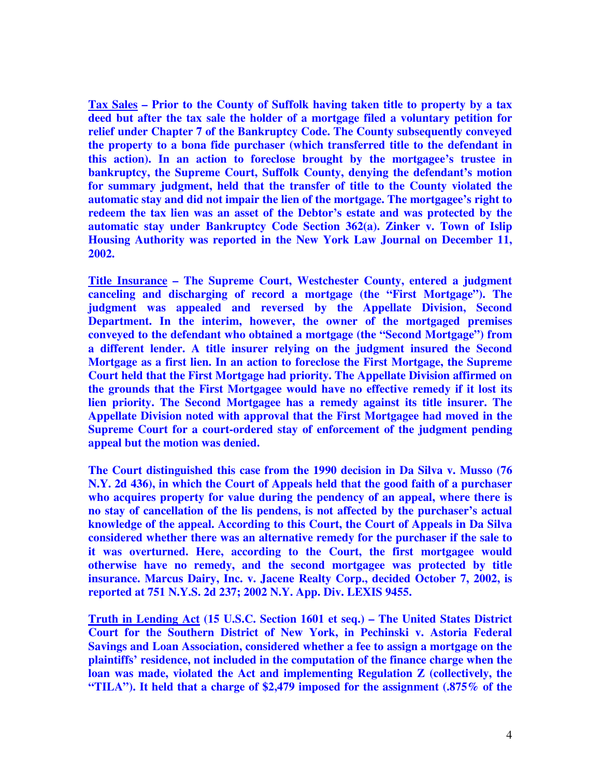**Tax Sales – Prior to the County of Suffolk having taken title to property by a tax deed but after the tax sale the holder of a mortgage filed a voluntary petition for relief under Chapter 7 of the Bankruptcy Code. The County subsequently conveyed the property to a bona fide purchaser (which transferred title to the defendant in this action). In an action to foreclose brought by the mortgagee's trustee in bankruptcy, the Supreme Court, Suffolk County, denying the defendant's motion for summary judgment, held that the transfer of title to the County violated the automatic stay and did not impair the lien of the mortgage. The mortgagee's right to redeem the tax lien was an asset of the Debtor's estate and was protected by the automatic stay under Bankruptcy Code Section 362(a). Zinker v. Town of Islip Housing Authority was reported in the New York Law Journal on December 11, 2002.** 

**Title Insurance – The Supreme Court, Westchester County, entered a judgment canceling and discharging of record a mortgage (the "First Mortgage"). The judgment was appealed and reversed by the Appellate Division, Second Department. In the interim, however, the owner of the mortgaged premises conveyed to the defendant who obtained a mortgage (the "Second Mortgage") from a different lender. A title insurer relying on the judgment insured the Second Mortgage as a first lien. In an action to foreclose the First Mortgage, the Supreme Court held that the First Mortgage had priority. The Appellate Division affirmed on the grounds that the First Mortgagee would have no effective remedy if it lost its lien priority. The Second Mortgagee has a remedy against its title insurer. The Appellate Division noted with approval that the First Mortgagee had moved in the Supreme Court for a court-ordered stay of enforcement of the judgment pending appeal but the motion was denied.** 

**The Court distinguished this case from the 1990 decision in Da Silva v. Musso (76 N.Y. 2d 436), in which the Court of Appeals held that the good faith of a purchaser who acquires property for value during the pendency of an appeal, where there is no stay of cancellation of the lis pendens, is not affected by the purchaser's actual knowledge of the appeal. According to this Court, the Court of Appeals in Da Silva considered whether there was an alternative remedy for the purchaser if the sale to it was overturned. Here, according to the Court, the first mortgagee would otherwise have no remedy, and the second mortgagee was protected by title insurance. Marcus Dairy, Inc. v. Jacene Realty Corp., decided October 7, 2002, is reported at 751 N.Y.S. 2d 237; 2002 N.Y. App. Div. LEXIS 9455.** 

**Truth in Lending Act (15 U.S.C. Section 1601 et seq.) – The United States District Court for the Southern District of New York, in Pechinski v. Astoria Federal Savings and Loan Association, considered whether a fee to assign a mortgage on the plaintiffs' residence, not included in the computation of the finance charge when the loan was made, violated the Act and implementing Regulation Z (collectively, the "TILA"). It held that a charge of \$2,479 imposed for the assignment (.875% of the**